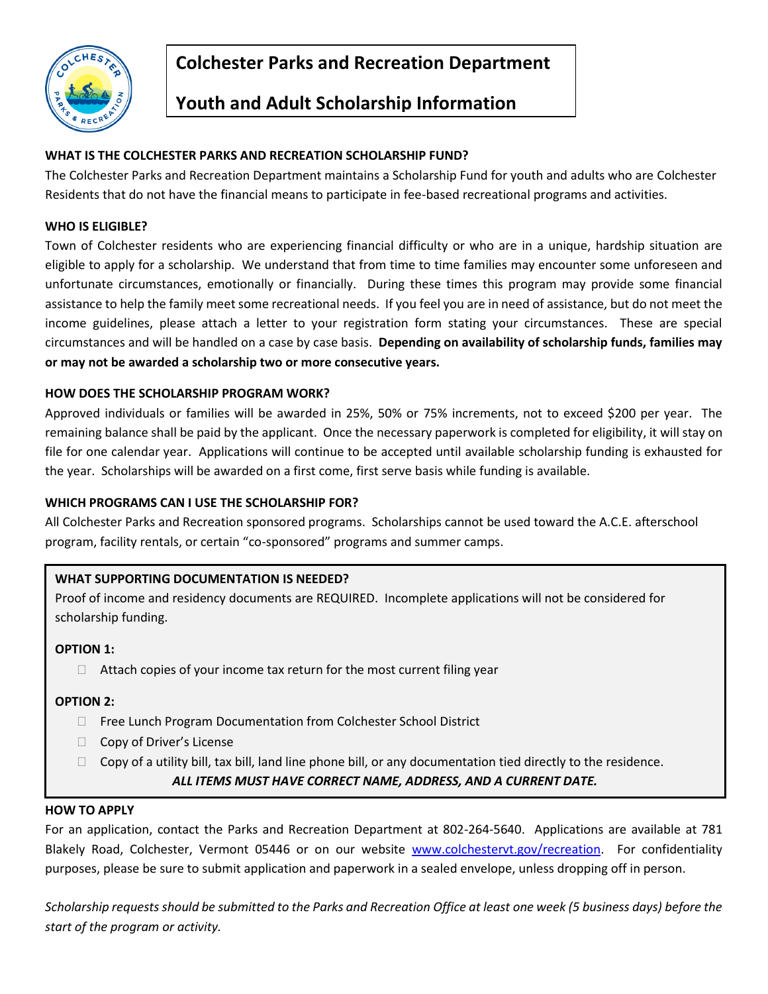

# **Colchester Parks and Recreation Department**

# **Youth and Adult Scholarship Information**

# **WHAT IS THE COLCHESTER PARKS AND RECREATION SCHOLARSHIP FUND?**

The Colchester Parks and Recreation Department maintains a Scholarship Fund for youth and adults who are Colchester Residents that do not have the financial means to participate in fee-based recreational programs and activities.

### **WHO IS ELIGIBLE?**

Town of Colchester residents who are experiencing financial difficulty or who are in a unique, hardship situation are eligible to apply for a scholarship. We understand that from time to time families may encounter some unforeseen and unfortunate circumstances, emotionally or financially. During these times this program may provide some financial assistance to help the family meet some recreational needs. If you feel you are in need of assistance, but do not meet the income guidelines, please attach a letter to your registration form stating your circumstances. These are special circumstances and will be handled on a case by case basis. **Depending on availability of scholarship funds, families may or may not be awarded a scholarship two or more consecutive years.**

## **HOW DOES THE SCHOLARSHIP PROGRAM WORK?**

Approved individuals or families will be awarded in 25%, 50% or 75% increments, not to exceed \$200 per year. The remaining balance shall be paid by the applicant. Once the necessary paperwork is completed for eligibility, it will stay on file for one calendar year. Applications will continue to be accepted until available scholarship funding is exhausted for the year. Scholarships will be awarded on a first come, first serve basis while funding is available.

### **WHICH PROGRAMS CAN I USE THE SCHOLARSHIP FOR?**

All Colchester Parks and Recreation sponsored programs. Scholarships cannot be used toward the A.C.E. afterschool program, facility rentals, or certain "co-sponsored" programs and summer camps.

## **WHAT SUPPORTING DOCUMENTATION IS NEEDED?**

Proof of income and residency documents are REQUIRED. Incomplete applications will not be considered for scholarship funding.

#### **OPTION 1:**

 $\Box$  Attach copies of your income tax return for the most current filing year

#### **OPTION 2:**

- □ Free Lunch Program Documentation from Colchester School District
- $\Box$  Copy of Driver's License
- $\Box$  Copy of a utility bill, tax bill, land line phone bill, or any documentation tied directly to the residence.

*ALL ITEMS MUST HAVE CORRECT NAME, ADDRESS, AND A CURRENT DATE.*

### **HOW TO APPLY**

For an application, contact the Parks and Recreation Department at 802-264-5640. Applications are available at 781 Blakely Road, Colchester, Vermont 05446 or on our website [www.colchestervt.gov/recreation.](http://www.colchestervt.gov/recreation) For confidentiality purposes, please be sure to submit application and paperwork in a sealed envelope, unless dropping off in person.

*Scholarship requests should be submitted to the Parks and Recreation Office at least one week (5 business days) before the start of the program or activity.*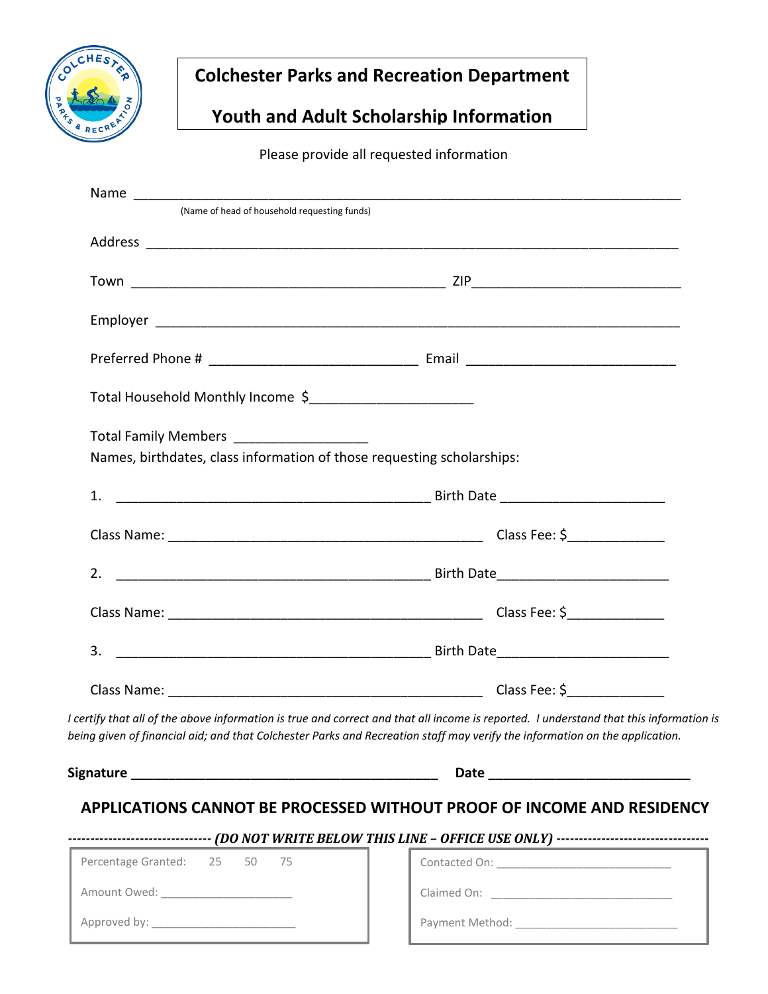

# **Colchester Parks and Recreation Department**

# **Youth and Adult Scholarship Information**

Please provide all requested information

| (Name of head of household requesting funds)                           |                                                                                                                                                                                                                                                                       |
|------------------------------------------------------------------------|-----------------------------------------------------------------------------------------------------------------------------------------------------------------------------------------------------------------------------------------------------------------------|
|                                                                        |                                                                                                                                                                                                                                                                       |
|                                                                        |                                                                                                                                                                                                                                                                       |
|                                                                        |                                                                                                                                                                                                                                                                       |
|                                                                        |                                                                                                                                                                                                                                                                       |
| Total Household Monthly Income \$                                      |                                                                                                                                                                                                                                                                       |
| Total Family Members __________________                                |                                                                                                                                                                                                                                                                       |
| Names, birthdates, class information of those requesting scholarships: |                                                                                                                                                                                                                                                                       |
|                                                                        |                                                                                                                                                                                                                                                                       |
|                                                                        |                                                                                                                                                                                                                                                                       |
|                                                                        |                                                                                                                                                                                                                                                                       |
|                                                                        |                                                                                                                                                                                                                                                                       |
|                                                                        |                                                                                                                                                                                                                                                                       |
|                                                                        |                                                                                                                                                                                                                                                                       |
|                                                                        | I certify that all of the above information is true and correct and that all income is reported. I understand that this information is<br>being given of financial aid; and that Colchester Parks and Recreation staff may verify the information on the application. |
|                                                                        |                                                                                                                                                                                                                                                                       |
|                                                                        |                                                                                                                                                                                                                                                                       |
|                                                                        | APPLICATIONS CANNOT BE PROCESSED WITHOUT PROOF OF INCOME AND RESIDENCY                                                                                                                                                                                                |
| Percentage Granted: 25 50 75                                           |                                                                                                                                                                                                                                                                       |
| Amount Owed: _______________________                                   |                                                                                                                                                                                                                                                                       |
|                                                                        |                                                                                                                                                                                                                                                                       |
|                                                                        |                                                                                                                                                                                                                                                                       |